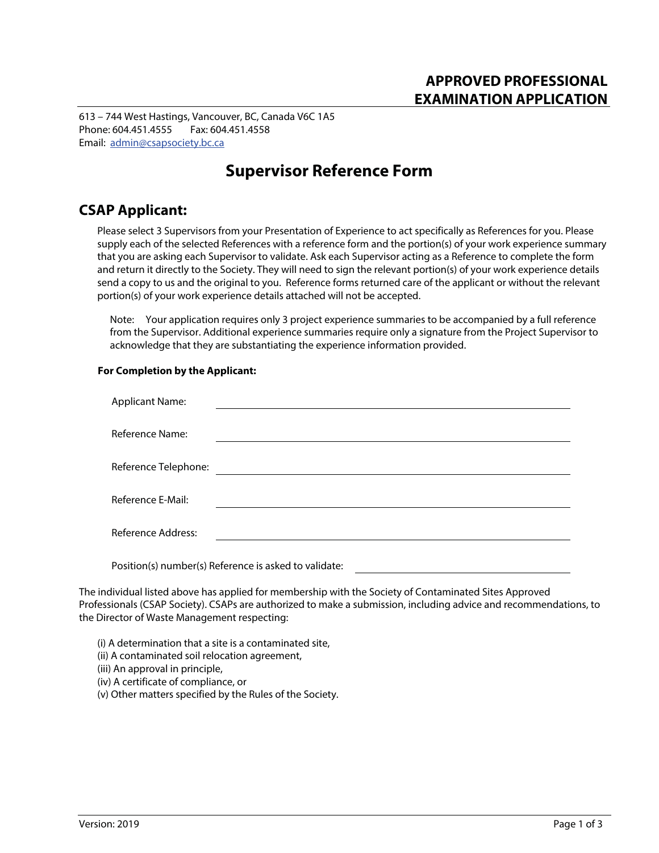613 – 744 West Hastings, Vancouver, BC, Canada V6C 1A5 Phone: 604.451.4555 Fax: 604.451.4558 Email: admin@csapsociety.bc.ca

# **Supervisor Reference Form**

## **CSAP Applicant:**

Please select 3 Supervisors from your Presentation of Experience to act specifically as References for you. Please supply each of the selected References with a reference form and the portion(s) of your work experience summary that you are asking each Supervisor to validate. Ask each Supervisor acting as a Reference to complete the form and return it directly to the Society. They will need to sign the relevant portion(s) of your work experience details send a copy to us and the original to you. Reference forms returned care of the applicant or without the relevant portion(s) of your work experience details attached will not be accepted.

Note: Your application requires only 3 project experience summaries to be accompanied by a full reference from the Supervisor. Additional experience summaries require only a signature from the Project Supervisor to acknowledge that they are substantiating the experience information provided.

### **For Completion by the Applicant:**

| <b>Applicant Name:</b>    |                                                       |  |
|---------------------------|-------------------------------------------------------|--|
|                           |                                                       |  |
| <b>Reference Name:</b>    |                                                       |  |
|                           |                                                       |  |
| Reference Telephone:      |                                                       |  |
|                           |                                                       |  |
| Reference E-Mail:         |                                                       |  |
|                           |                                                       |  |
| <b>Reference Address:</b> |                                                       |  |
|                           |                                                       |  |
|                           | Position(s) number(s) Reference is asked to validate: |  |

The individual listed above has applied for membership with the Society of Contaminated Sites Approved Professionals (CSAP Society). CSAPs are authorized to make a submission, including advice and recommendations, to the Director of Waste Management respecting:

(i) A determination that a site is a contaminated site, (ii) A contaminated soil relocation agreement, (iii) An approval in principle, (iv) A certificate of compliance, or (v) Other matters specified by the Rules of the Society.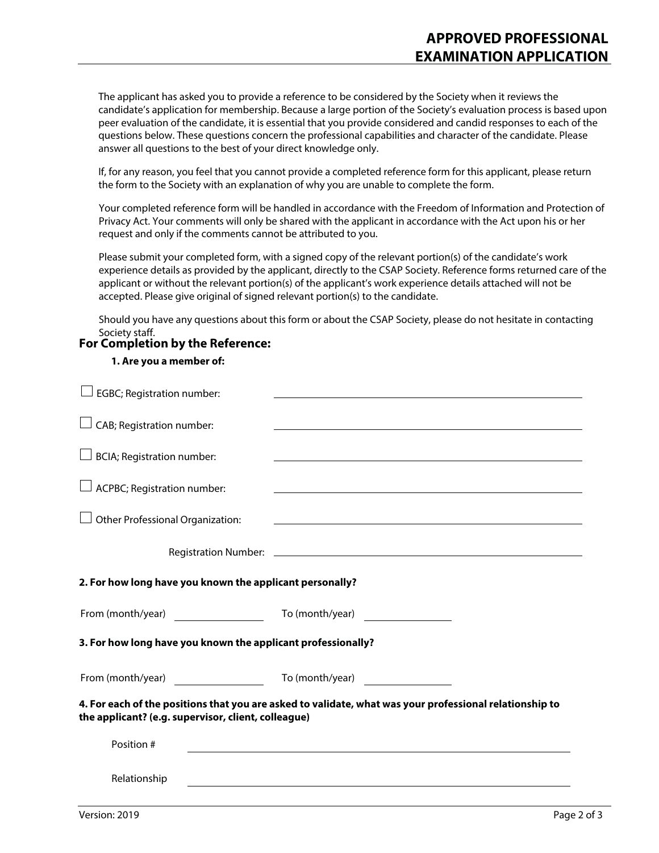The applicant has asked you to provide a reference to be considered by the Society when it reviews the candidate's application for membership. Because a large portion of the Society's evaluation process is based upon peer evaluation of the candidate, it is essential that you provide considered and candid responses to each of the questions below. These questions concern the professional capabilities and character of the candidate. Please answer all questions to the best of your direct knowledge only.

If, for any reason, you feel that you cannot provide a completed reference form for this applicant, please return the form to the Society with an explanation of why you are unable to complete the form.

Your completed reference form will be handled in accordance with the Freedom of Information and Protection of Privacy Act. Your comments will only be shared with the applicant in accordance with the Act upon his or her request and only if the comments cannot be attributed to you.

Please submit your completed form, with a signed copy of the relevant portion(s) of the candidate's work experience details as provided by the applicant, directly to the CSAP Society. Reference forms returned care of the applicant or without the relevant portion(s) of the applicant's work experience details attached will not be accepted. Please give original of signed relevant portion(s) to the candidate.

Should you have any questions about this form or about the CSAP Society, please do not hesitate in contacting Society staff.

## **For Completion by the Reference:**

#### **1. Are you a member of:**

| EGBC; Registration number:                                   |                                                                                                         |
|--------------------------------------------------------------|---------------------------------------------------------------------------------------------------------|
| CAB; Registration number:                                    |                                                                                                         |
| <b>BCIA</b> ; Registration number:                           |                                                                                                         |
| ACPBC; Registration number:                                  |                                                                                                         |
| Other Professional Organization:                             |                                                                                                         |
|                                                              |                                                                                                         |
| 2. For how long have you known the applicant personally?     |                                                                                                         |
| From (month/year)                                            | To (month/year)                                                                                         |
| 3. For how long have you known the applicant professionally? |                                                                                                         |
|                                                              |                                                                                                         |
|                                                              |                                                                                                         |
| the applicant? (e.g. supervisor, client, colleague)          | 4. For each of the positions that you are asked to validate, what was your professional relationship to |
| Position #                                                   |                                                                                                         |